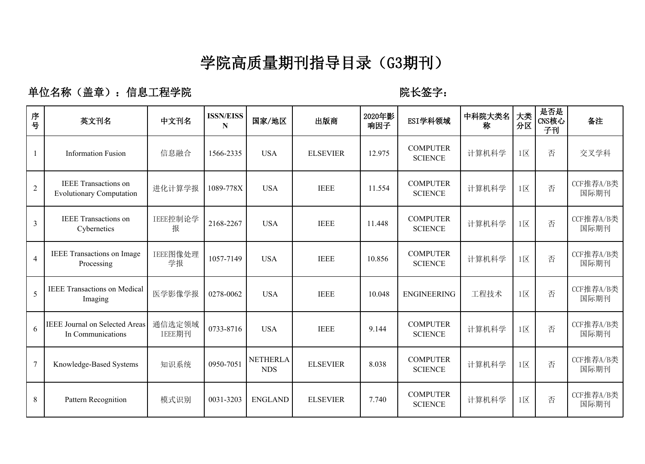### **学院高质量期刊指导目录(G3期刊)**

单位名称(盖章): 信息工程学院 **WELL SECONDED TELL SECONDER**: 陈长签字:

| 序<br>.<br>묵    | 英文刊名                                                           | 中文刊名             | <b>ISSN/EISS</b><br>N | 国家/地区                         | 出版商             | 2020年影<br>响因子 | ESI学科领域                           | 中科院大类名<br>称 | 大类<br>分区                | 是否是<br>CNS核心<br>子刊 | 备注                |
|----------------|----------------------------------------------------------------|------------------|-----------------------|-------------------------------|-----------------|---------------|-----------------------------------|-------------|-------------------------|--------------------|-------------------|
| 1              | <b>Information Fusion</b>                                      | 信息融合             | 1566-2335             | <b>USA</b>                    | <b>ELSEVIER</b> | 12.975        | <b>COMPUTER</b><br><b>SCIENCE</b> | 计算机科学       | $1\overline{\boxtimes}$ | 否                  | 交叉学科              |
| $\overline{2}$ | <b>IEEE</b> Transactions on<br><b>Evolutionary Computation</b> | 进化计算学报           | 1089-778X             | <b>USA</b>                    | <b>IEEE</b>     | 11.554        | <b>COMPUTER</b><br><b>SCIENCE</b> | 计算机科学       | $1\overline{\boxtimes}$ | 否                  | CCF推荐A/B类<br>国际期刊 |
| 3              | <b>IEEE</b> Transactions on<br>Cybernetics                     | IEEE控制论学<br>报    | 2168-2267             | <b>USA</b>                    | <b>IEEE</b>     | 11.448        | <b>COMPUTER</b><br><b>SCIENCE</b> | 计算机科学       | $1\overline{\boxtimes}$ | 否                  | CCF推荐A/B类<br>国际期刊 |
| $\overline{4}$ | IEEE Transactions on Image<br>Processing                       | IEEE图像处理<br>学报   | 1057-7149             | <b>USA</b>                    | <b>IEEE</b>     | 10.856        | <b>COMPUTER</b><br><b>SCIENCE</b> | 计算机科学       | $1\overline{\boxtimes}$ | 否                  | CCF推荐A/B类<br>国际期刊 |
| 5              | <b>IEEE Transactions on Medical</b><br>Imaging                 | 医学影像学报           | 0278-0062             | <b>USA</b>                    | <b>IEEE</b>     | 10.048        | <b>ENGINEERING</b>                | 工程技术        | $1\overline{\boxtimes}$ | 否                  | CCF推荐A/B类<br>国际期刊 |
| 6              | <b>IEEE Journal on Selected Areas</b><br>In Communications     | 通信选定领域<br>IEEE期刊 | 0733-8716             | <b>USA</b>                    | <b>IEEE</b>     | 9.144         | <b>COMPUTER</b><br><b>SCIENCE</b> | 计算机科学       | $1\overline{\boxtimes}$ | 否                  | CCF推荐A/B类<br>国际期刊 |
| 7              | Knowledge-Based Systems                                        | 知识系统             | 0950-7051             | <b>NETHERLA</b><br><b>NDS</b> | <b>ELSEVIER</b> | 8.038         | <b>COMPUTER</b><br><b>SCIENCE</b> | 计算机科学       | $1\overline{\boxtimes}$ | 否                  | CCF推荐A/B类<br>国际期刊 |
| 8              | Pattern Recognition                                            | 模式识别             | 0031-3203             | <b>ENGLAND</b>                | <b>ELSEVIER</b> | 7.740         | <b>COMPUTER</b><br><b>SCIENCE</b> | 计算机科学       | $1\overline{\boxtimes}$ | 否                  | CCF推荐A/B类<br>国际期刊 |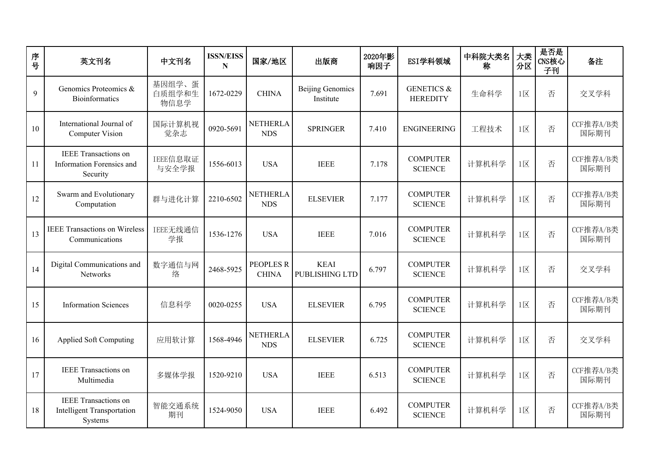| 序<br>号 | 英文刊名                                                                        | 中文刊名                     | <b>ISSN/EISS</b><br>N | 国家/地区                            | 出版商                                  | 2020年影<br>响因子 | ESI学科领域                                  | 中科院大类名<br>称 | 大类<br>分区                 | 是否是<br>CNS核心<br>子刊 | 备注                |
|--------|-----------------------------------------------------------------------------|--------------------------|-----------------------|----------------------------------|--------------------------------------|---------------|------------------------------------------|-------------|--------------------------|--------------------|-------------------|
| 9      | Genomics Proteomics &<br><b>Bioinformatics</b>                              | 基因组学、蛋<br>白质组学和生<br>物信息学 | 1672-0229             | <b>CHINA</b>                     | <b>Beijing Genomics</b><br>Institute | 7.691         | <b>GENETICS &amp;</b><br><b>HEREDITY</b> | 生命科学        | $1\overline{\boxtimes}$  | 否                  | 交叉学科              |
| 10     | International Journal of<br><b>Computer Vision</b>                          | 国际计算机视<br>觉杂志            | 0920-5691             | <b>NETHERLA</b><br><b>NDS</b>    | <b>SPRINGER</b>                      | 7.410         | <b>ENGINEERING</b>                       | 工程技术        | $1\overline{\boxtimes}$  | 否                  | CCF推荐A/B类<br>国际期刊 |
| 11     | <b>IEEE</b> Transactions on<br>Information Forensics and<br>Security        | IEEE信息取证<br>与安全学报        | 1556-6013             | <b>USA</b>                       | <b>IEEE</b>                          | 7.178         | <b>COMPUTER</b><br><b>SCIENCE</b>        | 计算机科学       | $1\overline{\boxtimes}$  | 否                  | CCF推荐A/B类<br>国际期刊 |
| 12     | Swarm and Evolutionary<br>Computation                                       | 群与进化计算                   | 2210-6502             | <b>NETHERLA</b><br><b>NDS</b>    | <b>ELSEVIER</b>                      | 7.177         | <b>COMPUTER</b><br><b>SCIENCE</b>        | 计算机科学       | $1\overline{\boxtimes}$  | 否                  | CCF推荐A/B类<br>国际期刊 |
| 13     | <b>IEEE Transactions on Wireless</b><br>Communications                      | IEEE无线通信<br>学报           | 1536-1276             | <b>USA</b>                       | <b>IEEE</b>                          | 7.016         | <b>COMPUTER</b><br><b>SCIENCE</b>        | 计算机科学       | $1\overline{\mathbb{X}}$ | 否                  | CCF推荐A/B类<br>国际期刊 |
| 14     | Digital Communications and<br><b>Networks</b>                               | 数字通信与网<br>络              | 2468-5925             | <b>PEOPLES R</b><br><b>CHINA</b> | <b>KEAI</b><br><b>PUBLISHING LTD</b> | 6.797         | <b>COMPUTER</b><br><b>SCIENCE</b>        | 计算机科学       | $1\overline{\boxtimes}$  | 否                  | 交叉学科              |
| 15     | <b>Information Sciences</b>                                                 | 信息科学                     | 0020-0255             | <b>USA</b>                       | <b>ELSEVIER</b>                      | 6.795         | <b>COMPUTER</b><br><b>SCIENCE</b>        | 计算机科学       | $1\overline{\boxtimes}$  | 否                  | CCF推荐A/B类<br>国际期刊 |
| 16     | <b>Applied Soft Computing</b>                                               | 应用软计算                    | 1568-4946             | <b>NETHERLA</b><br><b>NDS</b>    | <b>ELSEVIER</b>                      | 6.725         | <b>COMPUTER</b><br><b>SCIENCE</b>        | 计算机科学       | $1\overline{\boxtimes}$  | 否                  | 交叉学科              |
| 17     | <b>IEEE</b> Transactions on<br>Multimedia                                   | 多媒体学报                    | 1520-9210             | <b>USA</b>                       | <b>IEEE</b>                          | 6.513         | <b>COMPUTER</b><br><b>SCIENCE</b>        | 计算机科学       | $1\overline{\boxtimes}$  | 否                  | CCF推荐A/B类<br>国际期刊 |
| 18     | <b>IEEE</b> Transactions on<br><b>Intelligent Transportation</b><br>Systems | 智能交通系统<br>期刊             | 1524-9050             | <b>USA</b>                       | <b>IEEE</b>                          | 6.492         | <b>COMPUTER</b><br><b>SCIENCE</b>        | 计算机科学       | $1\overline{\boxtimes}$  | 否                  | CCF推荐A/B类<br>国际期刊 |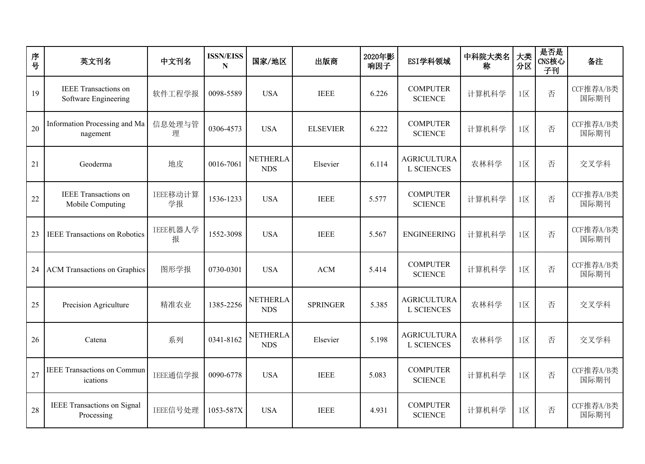| 序<br>$\frac{1}{2}$ | 英文刊名                                                | 中文刊名           | <b>ISSN/EISS</b><br>N | 国家/地区                         | 出版商             | 2020年影<br>响因子 | ESI学科领域                                 | 中科院大类名<br>称 | 大类<br>分区                 | 是否是<br>CNS核心<br>子刊 | 备注                |
|--------------------|-----------------------------------------------------|----------------|-----------------------|-------------------------------|-----------------|---------------|-----------------------------------------|-------------|--------------------------|--------------------|-------------------|
| 19                 | <b>IEEE</b> Transactions on<br>Software Engineering | 软件工程学报         | 0098-5589             | <b>USA</b>                    | <b>IEEE</b>     | 6.226         | <b>COMPUTER</b><br><b>SCIENCE</b>       | 计算机科学       | $1\overline{\mathbb{X}}$ | 否                  | CCF推荐A/B类<br>国际期刊 |
| 20                 | Information Processing and Ma<br>nagement           | 信息处理与管<br>理    | 0306-4573             | <b>USA</b>                    | <b>ELSEVIER</b> | 6.222         | <b>COMPUTER</b><br><b>SCIENCE</b>       | 计算机科学       | $1 \times$               | 否                  | CCF推荐A/B类<br>国际期刊 |
| 21                 | Geoderma                                            | 地皮             | 0016-7061             | <b>NETHERLA</b><br><b>NDS</b> | Elsevier        | 6.114         | <b>AGRICULTURA</b><br><b>L SCIENCES</b> | 农林科学        | $1\overline{\boxtimes}$  | 否                  | 交叉学科              |
| 22                 | <b>IEEE</b> Transactions on<br>Mobile Computing     | IEEE移动计算<br>学报 | 1536-1233             | <b>USA</b>                    | <b>IEEE</b>     | 5.577         | <b>COMPUTER</b><br><b>SCIENCE</b>       | 计算机科学       | $1\overline{\boxtimes}$  | 否                  | CCF推荐A/B类<br>国际期刊 |
| 23                 | <b>IEEE Transactions on Robotics</b>                | IEEE机器人学<br>报  | 1552-3098             | <b>USA</b>                    | <b>IEEE</b>     | 5.567         | <b>ENGINEERING</b>                      | 计算机科学       | $1\overline{\boxtimes}$  | 否                  | CCF推荐A/B类<br>国际期刊 |
| 24                 | <b>ACM Transactions on Graphics</b>                 | 图形学报           | 0730-0301             | <b>USA</b>                    | ACM             | 5.414         | <b>COMPUTER</b><br><b>SCIENCE</b>       | 计算机科学       | $1\overline{\boxtimes}$  | 否                  | CCF推荐A/B类<br>国际期刊 |
| 25                 | Precision Agriculture                               | 精准农业           | 1385-2256             | <b>NETHERLA</b><br><b>NDS</b> | <b>SPRINGER</b> | 5.385         | <b>AGRICULTURA</b><br><b>L SCIENCES</b> | 农林科学        | $1\overline{\boxtimes}$  | 否                  | 交叉学科              |
| 26                 | Catena                                              | 系列             | 0341-8162             | <b>NETHERLA</b><br><b>NDS</b> | Elsevier        | 5.198         | <b>AGRICULTURA</b><br><b>L SCIENCES</b> | 农林科学        | $1\overline{\boxtimes}$  | 否                  | 交叉学科              |
| 27                 | <b>IEEE Transactions on Commun</b><br>ications      | IEEE通信学报       | 0090-6778             | <b>USA</b>                    | <b>IEEE</b>     | 5.083         | <b>COMPUTER</b><br><b>SCIENCE</b>       | 计算机科学       | $1\overline{\mathsf{X}}$ | 否                  | CCF推荐A/B类<br>国际期刊 |
| 28                 | <b>IEEE Transactions on Signal</b><br>Processing    | IEEE信号处理       | 1053-587X             | <b>USA</b>                    | <b>IEEE</b>     | 4.931         | <b>COMPUTER</b><br><b>SCIENCE</b>       | 计算机科学       | $1\overline{\boxtimes}$  | 否                  | CCF推荐A/B类<br>国际期刊 |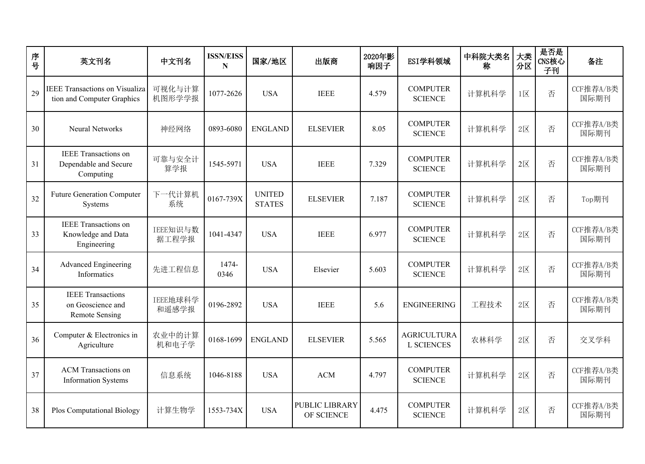| 序<br>$\frac{1}{2}$ | 英文刊名                                                                   | 中文刊名              | <b>ISSN/EISS</b><br>N | 国家/地区                          | 出版商                                 | 2020年影<br>响因子 | ESI学科领域                                 | 中科院大类名<br>称 | 大类<br>分区                | 是否是<br>CNS核心<br>子刊 | 备注                |
|--------------------|------------------------------------------------------------------------|-------------------|-----------------------|--------------------------------|-------------------------------------|---------------|-----------------------------------------|-------------|-------------------------|--------------------|-------------------|
| 29                 | <b>IEEE Transactions on Visualiza</b><br>tion and Computer Graphics    | 可视化与计算<br>机图形学学报  | 1077-2626             | <b>USA</b>                     | <b>IEEE</b>                         | 4.579         | <b>COMPUTER</b><br><b>SCIENCE</b>       | 计算机科学       | $1\overline{\boxtimes}$ | 否                  | CCF推荐A/B类<br>国际期刊 |
| 30                 | <b>Neural Networks</b>                                                 | 神经网络              | 0893-6080             | <b>ENGLAND</b>                 | <b>ELSEVIER</b>                     | 8.05          | <b>COMPUTER</b><br><b>SCIENCE</b>       | 计算机科学       | $2\n  X$                | 否                  | CCF推荐A/B类<br>国际期刊 |
| 31                 | <b>IEEE</b> Transactions on<br>Dependable and Secure<br>Computing      | 可靠与安全计<br>算学报     | 1545-5971             | <b>USA</b>                     | <b>IEEE</b>                         | 7.329         | <b>COMPUTER</b><br><b>SCIENCE</b>       | 计算机科学       | $2\overline{\boxtimes}$ | 否                  | CCF推荐A/B类<br>国际期刊 |
| 32                 | <b>Future Generation Computer</b><br>Systems                           | 下一代计算机<br>系统      | 0167-739X             | <b>UNITED</b><br><b>STATES</b> | <b>ELSEVIER</b>                     | 7.187         | <b>COMPUTER</b><br><b>SCIENCE</b>       | 计算机科学       | $2 \times$              | 否                  | Top期刊             |
| 33                 | <b>IEEE</b> Transactions on<br>Knowledge and Data<br>Engineering       | IEEE知识与数<br>据工程学报 | 1041-4347             | <b>USA</b>                     | <b>IEEE</b>                         | 6.977         | <b>COMPUTER</b><br><b>SCIENCE</b>       | 计算机科学       | $2\n  \times$           | 否                  | CCF推荐A/B类<br>国际期刊 |
| 34                 | <b>Advanced Engineering</b><br>Informatics                             | 先进工程信息            | 1474-<br>0346         | <b>USA</b>                     | Elsevier                            | 5.603         | <b>COMPUTER</b><br><b>SCIENCE</b>       | 计算机科学       | $2\n  X$                | 否                  | CCF推荐A/B类<br>国际期刊 |
| 35                 | <b>IEEE</b> Transactions<br>on Geoscience and<br><b>Remote Sensing</b> | IEEE地球科学<br>和遥感学报 | 0196-2892             | <b>USA</b>                     | <b>IEEE</b>                         | 5.6           | <b>ENGINEERING</b>                      | 工程技术        | $2\n  \times$           | 否                  | CCF推荐A/B类<br>国际期刊 |
| 36                 | Computer & Electronics in<br>Agriculture                               | 农业中的计算<br>机和电子学   | 0168-1699             | <b>ENGLAND</b>                 | <b>ELSEVIER</b>                     | 5.565         | <b>AGRICULTURA</b><br><b>L SCIENCES</b> | 农林科学        | $2 \times$              | 否                  | 交叉学科              |
| 37                 | <b>ACM</b> Transactions on<br><b>Information Systems</b>               | 信息系统              | 1046-8188             | <b>USA</b>                     | <b>ACM</b>                          | 4.797         | <b>COMPUTER</b><br><b>SCIENCE</b>       | 计算机科学       | $2\n  X$                | 否                  | CCF推荐A/B类<br>国际期刊 |
| 38                 | <b>Plos Computational Biology</b>                                      | 计算生物学             | 1553-734X             | <b>USA</b>                     | <b>PUBLIC LIBRARY</b><br>OF SCIENCE | 4.475         | <b>COMPUTER</b><br><b>SCIENCE</b>       | 计算机科学       | $2\n  X$                | 否                  | CCF推荐A/B类<br>国际期刊 |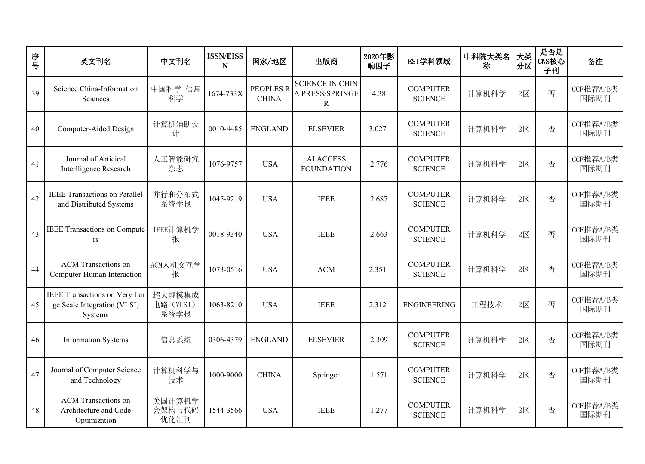| 序<br>号 | 英文刊名                                                                    | 中文刊名                        | <b>ISSN/EISS</b><br>N | 国家/地区                            | 出版商                                            | 2020年影<br>响因子 | ESI学科领域                           | 中科院大类名<br>称 | 大类<br>分区                 | 是否是<br>CNS核心<br>子刊 | 备注                |
|--------|-------------------------------------------------------------------------|-----------------------------|-----------------------|----------------------------------|------------------------------------------------|---------------|-----------------------------------|-------------|--------------------------|--------------------|-------------------|
| 39     | Science China-Information<br>Sciences                                   | 中国科学一信息<br>科学               | 1674-733X             | <b>PEOPLES R</b><br><b>CHINA</b> | <b>SCIENCE IN CHIN</b><br>A PRESS/SPRINGE<br>R | 4.38          | <b>COMPUTER</b><br><b>SCIENCE</b> | 计算机科学       | $2\n  \times$            | 否                  | CCF推荐A/B类<br>国际期刊 |
| 40     | Computer-Aided Design                                                   | 计算机辅助设<br>计                 | 0010-4485             | <b>ENGLAND</b>                   | <b>ELSEVIER</b>                                | 3.027         | <b>COMPUTER</b><br><b>SCIENCE</b> | 计算机科学       | $2 \overline{\boxtimes}$ | 否                  | CCF推荐A/B类<br>国际期刊 |
| 41     | Journal of Articical<br>Interlligence Research                          | 人工智能研究<br>杂志                | 1076-9757             | <b>USA</b>                       | <b>AI ACCESS</b><br><b>FOUNDATION</b>          | 2.776         | <b>COMPUTER</b><br><b>SCIENCE</b> | 计算机科学       | $2\n  X$                 | 否                  | CCF推荐A/B类<br>国际期刊 |
| 42     | <b>IEEE Transactions on Parallel</b><br>and Distributed Systems         | 并行和分布式<br>系统学报              | 1045-9219             | <b>USA</b>                       | <b>IEEE</b>                                    | 2.687         | <b>COMPUTER</b><br><b>SCIENCE</b> | 计算机科学       | $2 \times$               | 否                  | CCF推荐A/B类<br>国际期刊 |
| 43     | <b>IEEE Transactions on Compute</b><br>rs                               | IEEE计算机学<br>报               | 0018-9340             | <b>USA</b>                       | <b>IEEE</b>                                    | 2.663         | <b>COMPUTER</b><br><b>SCIENCE</b> | 计算机科学       | $2 \times$               | 否                  | CCF推荐A/B类<br>国际期刊 |
| 44     | <b>ACM</b> Transactions on<br>Computer-Human Interaction                | ACM人机交互学<br>报               | 1073-0516             | <b>USA</b>                       | ACM                                            | 2.351         | <b>COMPUTER</b><br><b>SCIENCE</b> | 计算机科学       | $2 \times$               | 否                  | CCF推荐A/B类<br>国际期刊 |
| 45     | IEEE Transactions on Very Lar<br>ge Scale Integration (VLSI)<br>Systems | 超大规模集成<br>电路 (VLSI)<br>系统学报 | 1063-8210             | <b>USA</b>                       | <b>IEEE</b>                                    | 2.312         | <b>ENGINEERING</b>                | 工程技术        | $2 \times$               | 否                  | CCF推荐A/B类<br>国际期刊 |
| 46     | <b>Information Systems</b>                                              | 信息系统                        | 0306-4379             | <b>ENGLAND</b>                   | <b>ELSEVIER</b>                                | 2.309         | <b>COMPUTER</b><br><b>SCIENCE</b> | 计算机科学       | $2 \overline{\boxtimes}$ | 否                  | CCF推荐A/B类<br>国际期刊 |
| 47     | Journal of Computer Science<br>and Technology                           | 计算机科学与<br>技术                | 1000-9000             | <b>CHINA</b>                     | Springer                                       | 1.571         | <b>COMPUTER</b><br><b>SCIENCE</b> | 计算机科学       | $2 \times$               | 否                  | CCF推荐A/B类<br>国际期刊 |
| 48     | <b>ACM</b> Transactions on<br>Architecture and Code<br>Optimization     | 美国计算机学<br>会架构与代码<br>优化汇刊    | 1544-3566             | <b>USA</b>                       | <b>IEEE</b>                                    | 1.277         | <b>COMPUTER</b><br><b>SCIENCE</b> | 计算机科学       | $2 \times$               | 否                  | CCF推荐A/B类<br>国际期刊 |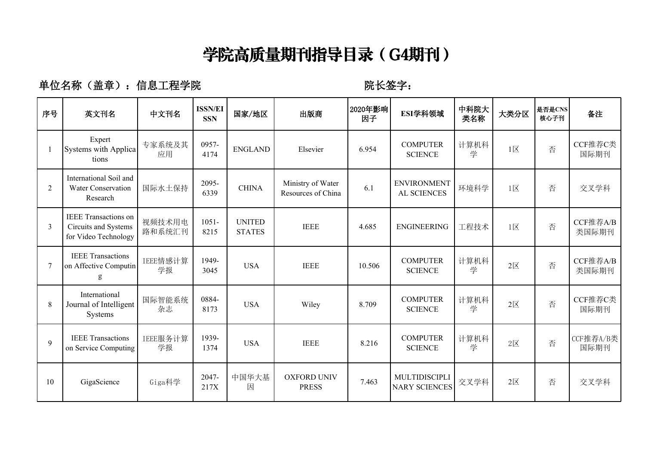## **学院高质量期刊指导目录(G4期刊)**

#### 单位名称(盖章): 信息工程学院 **WECCONNET REDESTIVES**: 院长签字:

| 序号           | 英文刊名                                                                                                                                                                                                                                                                                                                                                                                                                                                                                | 中文刊名             | <b>ISSN/EI</b><br><b>SSN</b> | 国家/地区                          | 出版商                                     | 2020年影响<br>因子 | ESI学科领域                               | 中科院大<br>类名称 | 大类分区                     | 是否是CNS<br>核心子刊 | 备注                |
|--------------|-------------------------------------------------------------------------------------------------------------------------------------------------------------------------------------------------------------------------------------------------------------------------------------------------------------------------------------------------------------------------------------------------------------------------------------------------------------------------------------|------------------|------------------------------|--------------------------------|-----------------------------------------|---------------|---------------------------------------|-------------|--------------------------|----------------|-------------------|
|              | Expert<br>Systems with Applica<br>tions                                                                                                                                                                                                                                                                                                                                                                                                                                             | 专家系统及其<br>应用     | 0957-<br>4174                | <b>ENGLAND</b>                 | Elsevier                                | 6.954         | <b>COMPUTER</b><br><b>SCIENCE</b>     | 计算机科<br>学   | $1\overline{\boxtimes}$  | 否              | CCF推荐C类<br>国际期刊   |
| 2            | International Soil and<br><b>Water Conservation</b><br>Research                                                                                                                                                                                                                                                                                                                                                                                                                     | 国际水土保持           | 2095-<br>6339                | <b>CHINA</b>                   | Ministry of Water<br>Resources of China | 6.1           | <b>ENVIRONMENT</b><br>AL SCIENCES     | 环境科学        | $1\overline{\mathsf{X}}$ | 否              | 交叉学科              |
| $\mathbf{3}$ | <b>IEEE</b> Transactions on<br>Circuits and Systems<br>for Video Technology                                                                                                                                                                                                                                                                                                                                                                                                         | 视频技术用电<br>路和系统汇刊 | $1051 -$<br>8215             | <b>UNITED</b><br><b>STATES</b> | <b>IEEE</b>                             | 4.685         | <b>ENGINEERING</b>                    | 工程技术        | $1\overline{\boxtimes}$  | 否              | CCF推荐A/B<br>类国际期刊 |
|              | <b>IEEE</b> Transactions<br>on Affective Computin<br>$\mathbf{g}% _{T}=\mathbf{g}_{T}=\mathbf{g}_{T}=\mathbf{g}_{T}=\mathbf{g}_{T}=\mathbf{g}_{T}=\mathbf{g}_{T}=\mathbf{g}_{T}=\mathbf{g}_{T}=\mathbf{g}_{T}=\mathbf{g}_{T}=\mathbf{g}_{T}=\mathbf{g}_{T}=\mathbf{g}_{T}=\mathbf{g}_{T}=\mathbf{g}_{T}=\mathbf{g}_{T}=\mathbf{g}_{T}=\mathbf{g}_{T}=\mathbf{g}_{T}=\mathbf{g}_{T}=\mathbf{g}_{T}=\mathbf{g}_{T}=\mathbf{g}_{T}=\mathbf{g}_{T}=\mathbf{g}_{T}=\mathbf{g}_{T}=\math$ | IEEE情感计算<br>学报   | 1949-<br>3045                | <b>USA</b>                     | <b>IEEE</b>                             | 10.506        | <b>COMPUTER</b><br><b>SCIENCE</b>     | 计算机科<br>学   | $2\overline{\boxtimes}$  | 否              | CCF推荐A/B<br>类国际期刊 |
| 8            | International<br>Journal of Intelligent<br>Systems                                                                                                                                                                                                                                                                                                                                                                                                                                  | 国际智能系统<br>杂志     | 0884-<br>8173                | <b>USA</b>                     | Wiley                                   | 8.709         | <b>COMPUTER</b><br><b>SCIENCE</b>     | 计算机科<br>学   | $2\overline{\boxtimes}$  | 否              | CCF推荐C类<br>国际期刊   |
| 9            | <b>IEEE</b> Transactions<br>on Service Computing                                                                                                                                                                                                                                                                                                                                                                                                                                    | IEEE服务计算<br>学报   | 1939-<br>1374                | <b>USA</b>                     | <b>IEEE</b>                             | 8.216         | <b>COMPUTER</b><br><b>SCIENCE</b>     | 计算机科<br>学   | $2\overline{\mathbb{X}}$ | 否              | CCF推荐A/B类<br>国际期刊 |
| 10           | GigaScience                                                                                                                                                                                                                                                                                                                                                                                                                                                                         | Giga科学           | 2047-<br>217X                | 中国华大基<br>因                     | <b>OXFORD UNIV</b><br><b>PRESS</b>      | 7.463         | MULTIDISCIPLI<br><b>NARY SCIENCES</b> | 交叉学科        | $2\overline{\boxtimes}$  | 否              | 交叉学科              |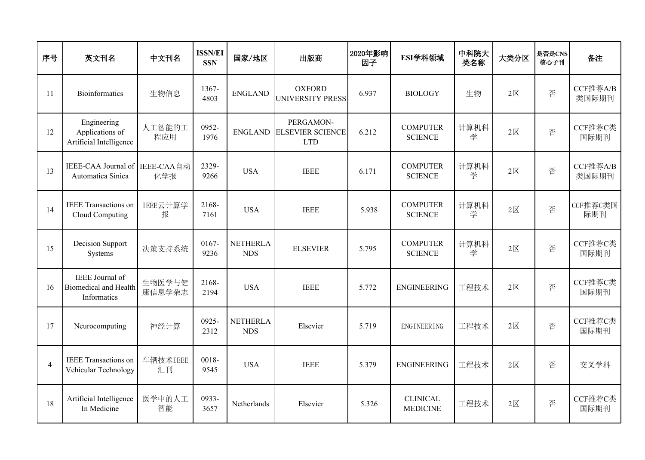| 序号             | 英文刊名                                                           | 中文刊名              | <b>ISSN/EI</b><br><b>SSN</b> | 国家/地区                         | 出版商                                                        | 2020年影响<br>因子 | ESI学科领域                            | 中科院大<br>类名称 | 大类分区                    | 是否是CNS<br>核心子刊 | 备注                |
|----------------|----------------------------------------------------------------|-------------------|------------------------------|-------------------------------|------------------------------------------------------------|---------------|------------------------------------|-------------|-------------------------|----------------|-------------------|
| 11             | Bioinformatics                                                 | 生物信息              | 1367-<br>4803                | <b>ENGLAND</b>                | <b>OXFORD</b><br><b>UNIVERSITY PRESS</b>                   | 6.937         | <b>BIOLOGY</b>                     | 生物          | $2 \times$              | 否              | CCF推荐A/B<br>类国际期刊 |
| 12             | Engineering<br>Applications of<br>Artificial Intelligence      | 人工智能的工<br>程应用     | 0952-<br>1976                |                               | PERGAMON-<br><b>ENGLAND ELSEVIER SCIENCE</b><br><b>LTD</b> | 6.212         | <b>COMPUTER</b><br><b>SCIENCE</b>  | 计算机科<br>学   | $2 \times$              | 否              | CCF推荐C类<br>国际期刊   |
| 13             | IEEE-CAA Journal of<br>Automatica Sinica                       | IEEE-CAA自动<br>化学报 | 2329-<br>9266                | <b>USA</b>                    | <b>IEEE</b>                                                | 6.171         | <b>COMPUTER</b><br><b>SCIENCE</b>  | 计算机科<br>学   | $2\overline{\boxtimes}$ | 否              | CCF推荐A/B<br>类国际期刊 |
| 14             | <b>IEEE</b> Transactions on<br>Cloud Computing                 | IEEE云计算学<br>报     | 2168-<br>7161                | <b>USA</b>                    | <b>IEEE</b>                                                | 5.938         | <b>COMPUTER</b><br><b>SCIENCE</b>  | 计算机科<br>学   | $2\overline{\boxtimes}$ | 否              | CCF推荐C类国<br>际期刊   |
| 15             | Decision Support<br>Systems                                    | 决策支持系统            | 0167-<br>9236                | <b>NETHERLA</b><br><b>NDS</b> | <b>ELSEVIER</b>                                            | 5.795         | <b>COMPUTER</b><br><b>SCIENCE</b>  | 计算机科<br>学   | $2\overline{\boxtimes}$ | 否              | CCF推荐C类<br>国际期刊   |
| 16             | IEEE Journal of<br><b>Biomedical and Health</b><br>Informatics | 生物医学与健<br>康信息学杂志  | 2168-<br>2194                | <b>USA</b>                    | <b>IEEE</b>                                                | 5.772         | <b>ENGINEERING</b>                 | 工程技术        | $2\overline{\boxtimes}$ | 否              | CCF推荐C类<br>国际期刊   |
| 17             | Neurocomputing                                                 | 神经计算              | 0925-<br>2312                | <b>NETHERLA</b><br><b>NDS</b> | Elsevier                                                   | 5.719         | ENGINEERING                        | 工程技术        | $2\overline{\boxtimes}$ | 否              | CCF推荐C类<br>国际期刊   |
| $\overline{4}$ | <b>IEEE</b> Transactions on<br>Vehicular Technology            | 车辆技术IEEE<br>汇刊    | 0018-<br>9545                | <b>USA</b>                    | <b>IEEE</b>                                                | 5.379         | <b>ENGINEERING</b>                 | 工程技术        | $2 \times$              | 否              | 交叉学科              |
| 18             | Artificial Intelligence<br>In Medicine                         | 医学中的人工<br>智能      | 0933-<br>3657                | Netherlands                   | Elsevier                                                   | 5.326         | <b>CLINICAL</b><br><b>MEDICINE</b> | 工程技术        | $2\overline{\boxtimes}$ | 否              | CCF推荐C类<br>国际期刊   |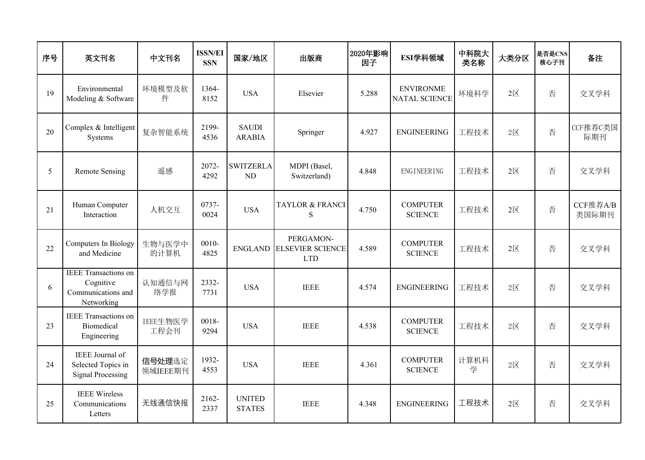| 序号 | 英文刊名                                                                         | 中文刊名               | <b>ISSN/EI</b><br><b>SSN</b> | 国家/地区                          | 出版商                                                | 2020年影响<br>因子 | ESI学科领域                                  | 中科院大<br>类名称 | 大类分区                    | 是否是CNS<br>核心子刊 | 备注                |
|----|------------------------------------------------------------------------------|--------------------|------------------------------|--------------------------------|----------------------------------------------------|---------------|------------------------------------------|-------------|-------------------------|----------------|-------------------|
| 19 | Environmental<br>Modeling & Software                                         | 环境模型及软<br>件        | 1364-<br>8152                | <b>USA</b>                     | Elsevier                                           | 5.288         | <b>ENVIRONME</b><br><b>NATAL SCIENCE</b> | 环境科学        | $2 \times$              | 否              | 交叉学科              |
| 20 | Complex & Intelligent<br>Systems                                             | 复杂智能系统             | 2199-<br>4536                | <b>SAUDI</b><br><b>ARABIA</b>  | Springer                                           | 4.927         | <b>ENGINEERING</b>                       | 工程技术        | $2 \times$              | 否              | CCF推荐C类国<br>际期刊   |
| 5  | <b>Remote Sensing</b>                                                        | 遥感                 | 2072-<br>4292                | <b>SWITZERLA</b><br>ND         | MDPI (Basel,<br>Switzerland)                       | 4.848         | ENGINEERING                              | 工程技术        | $2\overline{\boxtimes}$ | 否              | 交叉学科              |
| 21 | Human Computer<br>Interaction                                                | 人机交互               | 0737-<br>0024                | <b>USA</b>                     | <b>TAYLOR &amp; FRANCI</b><br>S                    | 4.750         | <b>COMPUTER</b><br><b>SCIENCE</b>        | 工程技术        | $2\overline{\boxtimes}$ | 否              | CCF推荐A/B<br>类国际期刊 |
| 22 | Computers In Biology<br>and Medicine                                         | 生物与医学中<br>的计算机     | $0010 -$<br>4825             | <b>ENGLAND</b>                 | PERGAMON-<br><b>ELSEVIER SCIENCE</b><br><b>LTD</b> | 4.589         | <b>COMPUTER</b><br><b>SCIENCE</b>        | 工程技术        | $2\overline{\boxtimes}$ | 否              | 交叉学科              |
| 6  | <b>IEEE</b> Transactions on<br>Cognitive<br>Communications and<br>Networking | 认知通信与网<br>络学报      | 2332-<br>7731                | <b>USA</b>                     | <b>IEEE</b>                                        | 4.574         | <b>ENGINEERING</b>                       | 工程技术        | $2 \times$              | 否              | 交叉学科              |
| 23 | <b>IEEE</b> Transactions on<br><b>Biomedical</b><br>Engineering              | IEEE生物医学<br>工程会刊   | 0018-<br>9294                | <b>USA</b>                     | <b>IEEE</b>                                        | 4.538         | <b>COMPUTER</b><br><b>SCIENCE</b>        | 工程技术        | $2 \times$              | 否              | 交叉学科              |
| 24 | IEEE Journal of<br>Selected Topics in<br><b>Signal Processing</b>            | 信号处理选定<br>领域IEEE期刊 | 1932-<br>4553                | <b>USA</b>                     | <b>IEEE</b>                                        | 4.361         | <b>COMPUTER</b><br><b>SCIENCE</b>        | 计算机科<br>学   | $2\n  X$                | 否              | 交叉学科              |
| 25 | <b>IEEE</b> Wireless<br>Communications<br>Letters                            | 无线通信快报             | 2162-<br>2337                | <b>UNITED</b><br><b>STATES</b> | <b>IEEE</b>                                        | 4.348         | <b>ENGINEERING</b>                       | 工程技术        | $2\overline{\boxtimes}$ | 否              | 交叉学科              |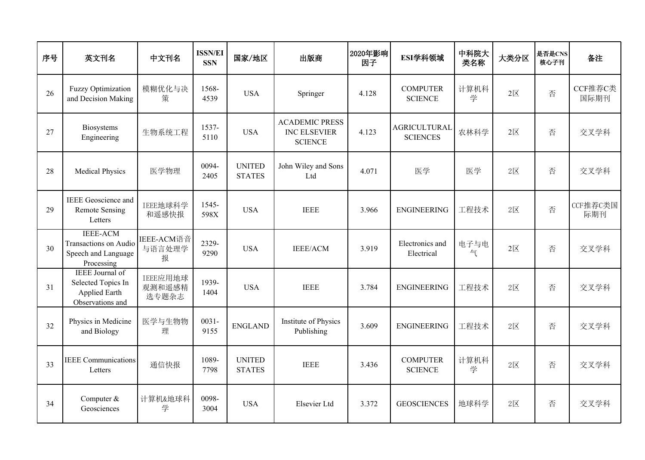| 序号 | 英文刊名                                                                              | 中文刊名                        | <b>ISSN/EI</b><br><b>SSN</b> | 国家/地区                          | 出版商                                                            | 2020年影响<br>因子 | ESI学科领域                                | 中科院大<br>类名称 | 大类分区                    | 是否是CNS<br>核心子刊 | 备注              |
|----|-----------------------------------------------------------------------------------|-----------------------------|------------------------------|--------------------------------|----------------------------------------------------------------|---------------|----------------------------------------|-------------|-------------------------|----------------|-----------------|
| 26 | Fuzzy Optimization<br>and Decision Making                                         | 模糊优化与决<br>策                 | 1568-<br>4539                | <b>USA</b>                     | Springer                                                       | 4.128         | <b>COMPUTER</b><br><b>SCIENCE</b>      | 计算机科<br>学   | $2\overline{\boxtimes}$ | 否              | CCF推荐C类<br>国际期刊 |
| 27 | Biosystems<br>Engineering                                                         | 生物系统工程                      | 1537-<br>5110                | <b>USA</b>                     | <b>ACADEMIC PRESS</b><br><b>INC ELSEVIER</b><br><b>SCIENCE</b> | 4.123         | <b>AGRICULTURAL</b><br><b>SCIENCES</b> | 农林科学        | $2\overline{\boxtimes}$ | 否              | 交叉学科            |
| 28 | <b>Medical Physics</b>                                                            | 医学物理                        | 0094-<br>2405                | <b>UNITED</b><br><b>STATES</b> | John Wiley and Sons<br>Ltd                                     | 4.071         | 医学                                     | 医学          | $2\nabla$               | 否              | 交叉学科            |
| 29 | <b>IEEE</b> Geoscience and<br><b>Remote Sensing</b><br>Letters                    | IEEE地球科学<br>和遥感快报           | 1545-<br>598X                | <b>USA</b>                     | <b>IEEE</b>                                                    | 3.966         | <b>ENGINEERING</b>                     | 工程技术        | $2 \times$              | 否              | CCF推荐C类国<br>际期刊 |
| 30 | <b>IEEE-ACM</b><br>Transactions on Audio<br>Speech and Language<br>Processing     | IEEE-ACM语音<br>与语言处理学<br>报   | 2329-<br>9290                | <b>USA</b>                     | <b>IEEE/ACM</b>                                                | 3.919         | Electronics and<br>Electrical          | 电子与电<br>气   | $2\overline{\boxtimes}$ | 否              | 交叉学科            |
| 31 | <b>IEEE</b> Journal of<br>Selected Topics In<br>Applied Earth<br>Observations and | IEEE应用地球<br>观测和遥感精<br>选专题杂志 | 1939-<br>1404                | <b>USA</b>                     | <b>IEEE</b>                                                    | 3.784         | <b>ENGINEERING</b>                     | 工程技术        | $2\overline{\boxtimes}$ | 否              | 交叉学科            |
| 32 | Physics in Medicine<br>and Biology                                                | 医学与生物物<br>理                 | $0031 -$<br>9155             | <b>ENGLAND</b>                 | Institute of Physics<br>Publishing                             | 3.609         | <b>ENGINEERING</b>                     | 工程技术        | $2 \times$              | 否              | 交叉学科            |
| 33 | <b>IEEE</b> Communications<br>Letters                                             | 通信快报                        | 1089-<br>7798                | <b>UNITED</b><br><b>STATES</b> | <b>IEEE</b>                                                    | 3.436         | <b>COMPUTER</b><br><b>SCIENCE</b>      | 计算机科<br>学   | $2 \times$              | 否              | 交叉学科            |
| 34 | Computer &<br>Geosciences                                                         | 计算机&地球科<br>学                | 0098-<br>3004                | <b>USA</b>                     | Elsevier Ltd                                                   | 3.372         | <b>GEOSCIENCES</b>                     | 地球科学        | $2 \times$              | 否              | 交叉学科            |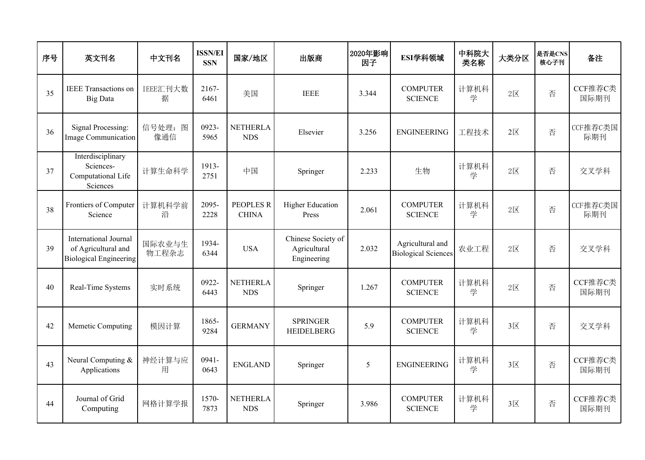| 序号 | 英文刊名                                                                                 | 中文刊名            | <b>ISSN/EI</b><br><b>SSN</b> | 国家/地区                            | 出版商                                               | 2020年影响<br>因子 | ESI学科领域                                        | 中科院大<br>类名称 | 大类分区                    | 是否是CNS<br>核心子刊 | 备注              |
|----|--------------------------------------------------------------------------------------|-----------------|------------------------------|----------------------------------|---------------------------------------------------|---------------|------------------------------------------------|-------------|-------------------------|----------------|-----------------|
| 35 | <b>IEEE</b> Transactions on<br><b>Big Data</b>                                       | IEEE汇刊大数<br>据   | 2167-<br>6461                | 美国                               | <b>IEEE</b>                                       | 3.344         | <b>COMPUTER</b><br><b>SCIENCE</b>              | 计算机科<br>学   | $2\n  X$                | 否              | CCF推荐C类<br>国际期刊 |
| 36 | Signal Processing:<br><b>Image Communication</b>                                     | 信号处理: 图<br>像通信  | 0923-<br>5965                | <b>NETHERLA</b><br><b>NDS</b>    | Elsevier                                          | 3.256         | <b>ENGINEERING</b>                             | 工程技术        | $2\overline{\boxtimes}$ | 否              | CCF推荐C类国<br>际期刊 |
| 37 | Interdisciplinary<br>Sciences-<br>Computational Life<br>Sciences                     | 计算生命科学          | 1913-<br>2751                | 中国                               | Springer                                          | 2.233         | 生物                                             | 计算机科<br>学   | $2\overline{\boxtimes}$ | 否              | 交叉学科            |
| 38 | Frontiers of Computer<br>Science                                                     | 计算机科学前<br>沿     | 2095-<br>2228                | <b>PEOPLES R</b><br><b>CHINA</b> | <b>Higher Education</b><br>Press                  | 2.061         | <b>COMPUTER</b><br><b>SCIENCE</b>              | 计算机科<br>学   | $2\overline{\boxtimes}$ | 否              | CCF推荐C类国<br>际期刊 |
| 39 | <b>International Journal</b><br>of Agricultural and<br><b>Biological Engineering</b> | 国际农业与生<br>物工程杂志 | 1934-<br>6344                | <b>USA</b>                       | Chinese Society of<br>Agricultural<br>Engineering | 2.032         | Agricultural and<br><b>Biological Sciences</b> | 农业工程        | $2 \times$              | 否              | 交叉学科            |
| 40 | Real-Time Systems                                                                    | 实时系统            | 0922-<br>6443                | <b>NETHERLA</b><br><b>NDS</b>    | Springer                                          | 1.267         | <b>COMPUTER</b><br><b>SCIENCE</b>              | 计算机科<br>学   | $2\overline{\boxtimes}$ | 否              | CCF推荐C类<br>国际期刊 |
| 42 | Memetic Computing                                                                    | 模因计算            | 1865-<br>9284                | <b>GERMANY</b>                   | <b>SPRINGER</b><br><b>HEIDELBERG</b>              | 5.9           | <b>COMPUTER</b><br><b>SCIENCE</b>              | 计算机科<br>学   | $3\overline{\boxtimes}$ | 否              | 交叉学科            |
| 43 | Neural Computing &<br>Applications                                                   | 神经计算与应<br>用     | 0941-<br>0643                | <b>ENGLAND</b>                   | Springer                                          | 5             | <b>ENGINEERING</b>                             | 计算机科<br>学   | $3\overline{\boxtimes}$ | 否              | CCF推荐C类<br>国际期刊 |
| 44 | Journal of Grid<br>Computing                                                         | 网格计算学报          | 1570-<br>7873                | <b>NETHERLA</b><br><b>NDS</b>    | Springer                                          | 3.986         | <b>COMPUTER</b><br><b>SCIENCE</b>              | 计算机科<br>学   | $3\overline{\boxtimes}$ | 否              | CCF推荐C类<br>国际期刊 |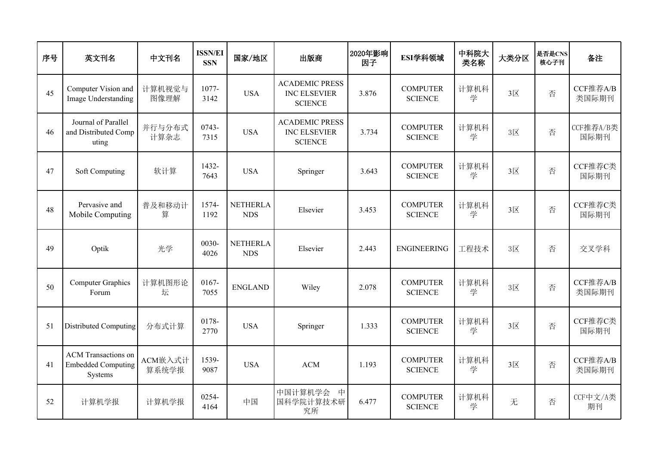| 序号 | 英文刊名                                                               | 中文刊名             | <b>ISSN/EI</b><br><b>SSN</b> | 国家/地区                         | 出版商                                                            | 2020年影响<br>因子 | ESI学科领域                           | 中科院大<br>类名称 | 大类分区                    | 是否是CNS<br>核心子刊 | 备注                |
|----|--------------------------------------------------------------------|------------------|------------------------------|-------------------------------|----------------------------------------------------------------|---------------|-----------------------------------|-------------|-------------------------|----------------|-------------------|
| 45 | Computer Vision and<br>Image Understanding                         | 计算机视觉与<br>图像理解   | 1077-<br>3142                | <b>USA</b>                    | <b>ACADEMIC PRESS</b><br><b>INC ELSEVIER</b><br><b>SCIENCE</b> | 3.876         | <b>COMPUTER</b><br><b>SCIENCE</b> | 计算机科<br>学   | $3\overline{\boxtimes}$ | 否              | CCF推荐A/B<br>类国际期刊 |
| 46 | Journal of Parallel<br>and Distributed Comp<br>uting               | 并行与分布式<br>计算杂志   | 0743-<br>7315                | <b>USA</b>                    | <b>ACADEMIC PRESS</b><br>INC ELSEVIER<br><b>SCIENCE</b>        | 3.734         | <b>COMPUTER</b><br><b>SCIENCE</b> | 计算机科<br>学   | $3\overline{\boxtimes}$ | 否              | CCF推荐A/B类<br>国际期刊 |
| 47 | Soft Computing                                                     | 软计算              | 1432-<br>7643                | <b>USA</b>                    | Springer                                                       | 3.643         | <b>COMPUTER</b><br><b>SCIENCE</b> | 计算机科<br>学   | $3\overline{\boxtimes}$ | 否              | CCF推荐C类<br>国际期刊   |
| 48 | Pervasive and<br>Mobile Computing                                  | 普及和移动计<br>算      | 1574-<br>1192                | <b>NETHERLA</b><br><b>NDS</b> | Elsevier                                                       | 3.453         | <b>COMPUTER</b><br><b>SCIENCE</b> | 计算机科<br>学   | $3\overline{\boxtimes}$ | 否              | CCF推荐C类<br>国际期刊   |
| 49 | Optik                                                              | 光学               | 0030-<br>4026                | <b>NETHERLA</b><br><b>NDS</b> | Elsevier                                                       | 2.443         | <b>ENGINEERING</b>                | 工程技术        | $3\overline{\boxtimes}$ | 否              | 交叉学科              |
| 50 | <b>Computer Graphics</b><br>Forum                                  | 计算机图形论<br>坛      | 0167-<br>7055                | <b>ENGLAND</b>                | Wiley                                                          | 2.078         | <b>COMPUTER</b><br><b>SCIENCE</b> | 计算机科<br>学   | $3\overline{\boxtimes}$ | 否              | CCF推荐A/B<br>类国际期刊 |
| 51 | <b>Distributed Computing</b>                                       | 分布式计算            | 0178-<br>2770                | <b>USA</b>                    | Springer                                                       | 1.333         | <b>COMPUTER</b><br><b>SCIENCE</b> | 计算机科<br>学   | $3\overline{\boxtimes}$ | 否              | CCF推荐C类<br>国际期刊   |
| 41 | <b>ACM</b> Transactions on<br><b>Embedded Computing</b><br>Systems | ACM嵌入式计<br>算系统学报 | 1539-<br>9087                | <b>USA</b>                    | $ACM$                                                          | 1.193         | <b>COMPUTER</b><br><b>SCIENCE</b> | 计算机科<br>学   | $3\overline{\boxtimes}$ | 否              | CCF推荐A/B<br>类国际期刊 |
| 52 | 计算机学报                                                              | 计算机学报            | 0254-<br>4164                | 中国                            | 中国计算机学会<br>中<br>国科学院计算技术研<br>究所                                | 6.477         | <b>COMPUTER</b><br><b>SCIENCE</b> | 计算机科<br>学   | 无                       | 否              | CCF中文/A类<br>期刊    |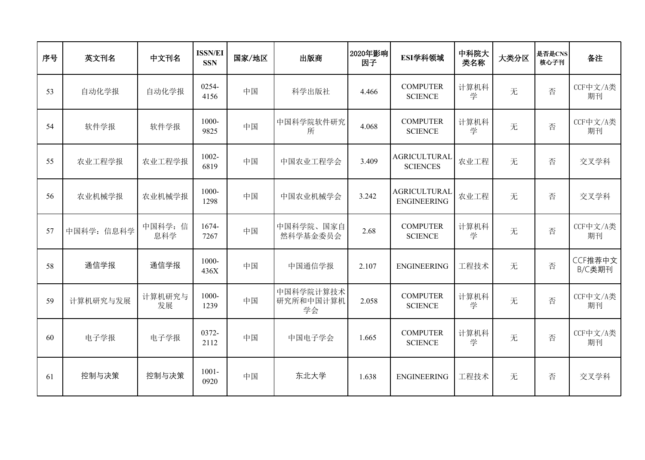| 序号 | 英文刊名       | 中文刊名          | <b>ISSN/EI</b><br><b>SSN</b> | 国家/地区 | 出版商                          | 2020年影响<br>因子 | ESI学科领域                                   | 中科院大<br>类名称 | 大类分区 | 是否是CNS<br>核心子刊 | 备注                |
|----|------------|---------------|------------------------------|-------|------------------------------|---------------|-------------------------------------------|-------------|------|----------------|-------------------|
| 53 | 自动化学报      | 自动化学报         | 0254-<br>4156                | 中国    | 科学出版社                        | 4.466         | <b>COMPUTER</b><br><b>SCIENCE</b>         | 计算机科<br>学   | 无    | 否              | CCF中文/A类<br>期刊    |
| 54 | 软件学报       | 软件学报          | 1000-<br>9825                | 中国    | 中国科学院软件研究<br>所               | 4.068         | <b>COMPUTER</b><br><b>SCIENCE</b>         | 计算机科<br>学   | 无    | 否              | CCF中文/A类<br>期刊    |
| 55 | 农业工程学报     | 农业工程学报        | $1002 -$<br>6819             | 中国    | 中国农业工程学会                     | 3.409         | <b>AGRICULTURAL</b><br><b>SCIENCES</b>    | 农业工程        | 无    | 否              | 交叉学科              |
| 56 | 农业机械学报     | 农业机械学报        | 1000-<br>1298                | 中国    | 中国农业机械学会                     | 3.242         | <b>AGRICULTURAL</b><br><b>ENGINEERING</b> | 农业工程        | 无    | 否              | 交叉学科              |
| 57 | 中国科学: 信息科学 | 中国科学:信<br>息科学 | 1674-<br>7267                | 中国    | 中国科学院、国家自<br>然科学基金委员会        | 2.68          | <b>COMPUTER</b><br><b>SCIENCE</b>         | 计算机科<br>学   | 无    | 否              | CCF中文/A类<br>期刊    |
| 58 | 通信学报       | 通信学报          | 1000-<br>436X                | 中国    | 中国通信学报                       | 2.107         | <b>ENGINEERING</b>                        | 工程技术        | 无    | 否              | CCF推荐中文<br>B/C类期刊 |
| 59 | 计算机研究与发展   | 计算机研究与<br>发展  | 1000-<br>1239                | 中国    | 中国科学院计算技术<br>研究所和中国计算机<br>学会 | 2.058         | <b>COMPUTER</b><br><b>SCIENCE</b>         | 计算机科<br>学   | 无    | 否              | CCF中文/A类<br>期刊    |
| 60 | 电子学报       | 电子学报          | 0372-<br>2112                | 中国    | 中国电子学会                       | 1.665         | <b>COMPUTER</b><br><b>SCIENCE</b>         | 计算机科<br>学   | 无    | 否              | CCF中文/A类<br>期刊    |
| 61 | 控制与决策      | 控制与决策         | $1001 -$<br>0920             | 中国    | 东北大学                         | 1.638         | <b>ENGINEERING</b>                        | 工程技术        | 无    | 否              | 交叉学科              |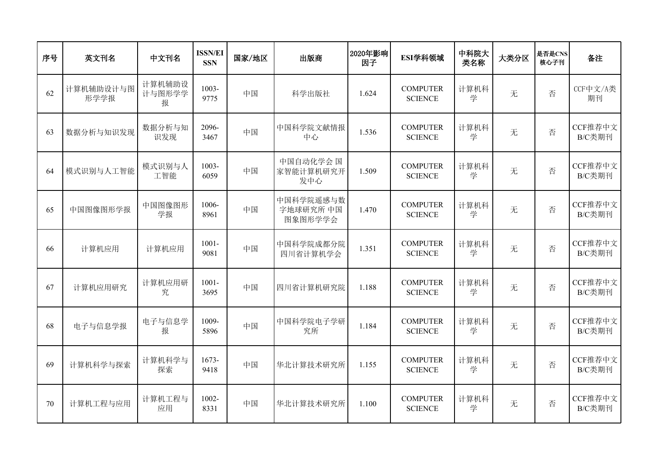| 序号 | 英文刊名              | 中文刊名                  | <b>ISSN/EI</b><br><b>SSN</b> | 国家/地区 | 出版商                               | 2020年影响<br>因子 | ESI学科领域                           | 中科院大<br>类名称 | 大类分区 | 是否是CNS<br>核心子刊 | 备注                |
|----|-------------------|-----------------------|------------------------------|-------|-----------------------------------|---------------|-----------------------------------|-------------|------|----------------|-------------------|
| 62 | 计算机辅助设计与图<br>形学学报 | 计算机辅助设<br>计与图形学学<br>报 | $1003 -$<br>9775             | 中国    | 科学出版社                             | 1.624         | <b>COMPUTER</b><br><b>SCIENCE</b> | 计算机科<br>学   | 无    | 否              | CCF中文/A类<br>期刊    |
| 63 | 数据分析与知识发现         | 数据分析与知<br>识发现         | 2096-<br>3467                | 中国    | 中国科学院文献情报<br>中心                   | 1.536         | <b>COMPUTER</b><br><b>SCIENCE</b> | 计算机科<br>学   | 无    | 否              | CCF推荐中文<br>B/C类期刊 |
| 64 | 模式识别与人工智能         | 模式识别与人<br>工智能         | $1003 -$<br>6059             | 中国    | 中国自动化学会 国<br>家智能计算机研究开<br>发中心     | 1.509         | <b>COMPUTER</b><br><b>SCIENCE</b> | 计算机科<br>学   | 无    | 否              | CCF推荐中文<br>B/C类期刊 |
| 65 | 中国图像图形学报          | 中国图像图形<br>学报          | 1006-<br>8961                | 中国    | 中国科学院遥感与数<br>字地球研究所 中国<br>图象图形学学会 | 1.470         | <b>COMPUTER</b><br><b>SCIENCE</b> | 计算机科<br>学   | 无    | 否              | CCF推荐中文<br>B/C类期刊 |
| 66 | 计算机应用             | 计算机应用                 | $1001 -$<br>9081             | 中国    | 中国科学院成都分院<br>四川省计算机学会             | 1.351         | <b>COMPUTER</b><br><b>SCIENCE</b> | 计算机科<br>学   | 无    | 否              | CCF推荐中文<br>B/C类期刊 |
| 67 | 计算机应用研究           | 计算机应用研<br>究           | $1001 -$<br>3695             | 中国    | 四川省计算机研究院                         | 1.188         | <b>COMPUTER</b><br><b>SCIENCE</b> | 计算机科<br>学   | 无    | 否              | CCF推荐中文<br>B/C类期刊 |
| 68 | 电子与信息学报           | 电子与信息学<br>报           | 1009-<br>5896                | 中国    | 中国科学院电子学研<br>究所                   | 1.184         | <b>COMPUTER</b><br><b>SCIENCE</b> | 计算机科<br>学   | 无    | 否              | CCF推荐中文<br>B/C类期刊 |
| 69 | 计算机科学与探索          | 计算机科学与<br>探索          | 1673-<br>9418                | 中国    | 华北计算技术研究所                         | 1.155         | <b>COMPUTER</b><br><b>SCIENCE</b> | 计算机科<br>学   | 无    | 否              | CCF推荐中文<br>B/C类期刊 |
| 70 | 计算机工程与应用          | 计算机工程与<br>应用          | 1002-<br>8331                | 中国    | 华北计算技术研究所                         | 1.100         | <b>COMPUTER</b><br><b>SCIENCE</b> | 计算机科<br>学   | 无    | 否              | CCF推荐中文<br>B/C类期刊 |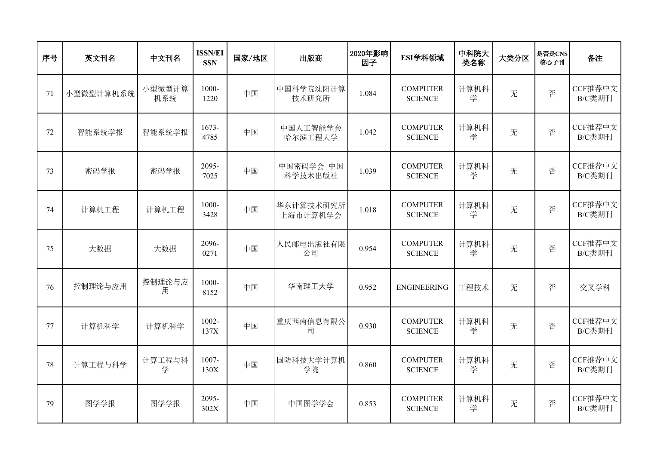| 序号 | 英文刊名      | 中文刊名          | <b>ISSN/EI</b><br><b>SSN</b> | 国家/地区 | 出版商                   | 2020年影响<br>因子 | ESI学科领域                           | 中科院大<br>类名称 | 大类分区 | 是否是CNS<br>核心子刊 | 备注                |
|----|-----------|---------------|------------------------------|-------|-----------------------|---------------|-----------------------------------|-------------|------|----------------|-------------------|
| 71 | 小型微型计算机系统 | 小型微型计算<br>机系统 | 1000-<br>1220                | 中国    | 中国科学院沈阳计算<br>技术研究所    | 1.084         | <b>COMPUTER</b><br><b>SCIENCE</b> | 计算机科<br>学   | 无    | 否              | CCF推荐中文<br>B/C类期刊 |
| 72 | 智能系统学报    | 智能系统学报        | $1673-$<br>4785              | 中国    | 中国人工智能学会<br>哈尔滨工程大学   | 1.042         | <b>COMPUTER</b><br><b>SCIENCE</b> | 计算机科<br>学   | 无    | 否              | CCF推荐中文<br>B/C类期刊 |
| 73 | 密码学报      | 密码学报          | 2095-<br>7025                | 中国    | 中国密码学会 中国<br>科学技术出版社  | 1.039         | <b>COMPUTER</b><br><b>SCIENCE</b> | 计算机科<br>学   | 无    | 否              | CCF推荐中文<br>B/C类期刊 |
| 74 | 计算机工程     | 计算机工程         | 1000-<br>3428                | 中国    | 华东计算技术研究所<br>上海市计算机学会 | 1.018         | <b>COMPUTER</b><br><b>SCIENCE</b> | 计算机科<br>学   | 无    | 否              | CCF推荐中文<br>B/C类期刊 |
| 75 | 大数据       | 大数据           | 2096-<br>0271                | 中国    | 人民邮电出版社有限<br>公司       | 0.954         | <b>COMPUTER</b><br><b>SCIENCE</b> | 计算机科<br>学   | 无    | 否              | CCF推荐中文<br>B/C类期刊 |
| 76 | 控制理论与应用   | 控制理论与应<br>用   | 1000-<br>8152                | 中国    | 华南理工大学                | 0.952         | <b>ENGINEERING</b>                | 工程技术        | 无    | 否              | 交叉学科              |
| 77 | 计算机科学     | 计算机科学         | $1002 -$<br>137X             | 中国    | 重庆西南信息有限公<br>司        | 0.930         | <b>COMPUTER</b><br><b>SCIENCE</b> | 计算机科<br>学   | 无    | 否              | CCF推荐中文<br>B/C类期刊 |
| 78 | 计算工程与科学   | 计算工程与科<br>学   | 1007-<br>130X                | 中国    | 国防科技大学计算机<br>学院       | 0.860         | <b>COMPUTER</b><br><b>SCIENCE</b> | 计算机科<br>学   | 无    | 否              | CCF推荐中文<br>B/C类期刊 |
| 79 | 图学学报      | 图学学报          | 2095-<br>302X                | 中国    | 中国图学学会                | 0.853         | <b>COMPUTER</b><br><b>SCIENCE</b> | 计算机科<br>学   | 无    | 否              | CCF推荐中文<br>B/C类期刊 |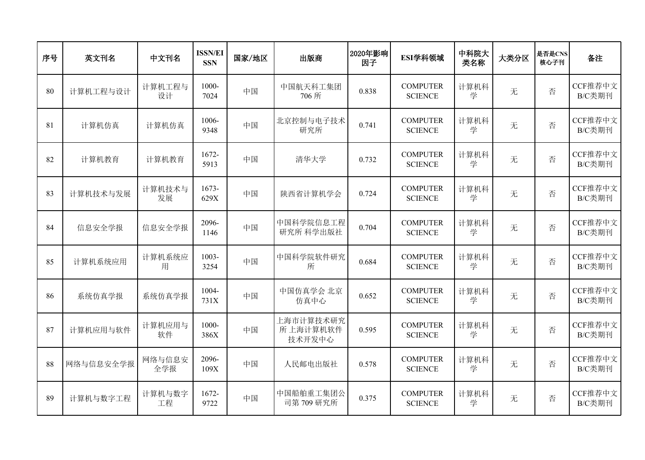| 序号 | 英文刊名      | 中文刊名          | <b>ISSN/EI</b><br><b>SSN</b> | 国家/地区 | 出版商                             | 2020年影响<br>因子 | ESI学科领域                           | 中科院大<br>类名称 | 大类分区 | 是否是CNS<br>核心子刊 | 备注                |
|----|-----------|---------------|------------------------------|-------|---------------------------------|---------------|-----------------------------------|-------------|------|----------------|-------------------|
| 80 | 计算机工程与设计  | 计算机工程与<br>设计  | 1000-<br>7024                | 中国    | 中国航天科工集团<br>706 所               | 0.838         | <b>COMPUTER</b><br><b>SCIENCE</b> | 计算机科<br>学   | 无    | 否              | CCF推荐中文<br>B/C类期刊 |
| 81 | 计算机仿真     | 计算机仿真         | 1006-<br>9348                | 中国    | 北京控制与电子技术<br>研究所                | 0.741         | <b>COMPUTER</b><br><b>SCIENCE</b> | 计算机科<br>学   | 无    | 否              | CCF推荐中文<br>B/C类期刊 |
| 82 | 计算机教育     | 计算机教育         | 1672-<br>5913                | 中国    | 清华大学                            | 0.732         | <b>COMPUTER</b><br><b>SCIENCE</b> | 计算机科<br>学   | 无    | 否              | CCF推荐中文<br>B/C类期刊 |
| 83 | 计算机技术与发展  | 计算机技术与<br>发展  | 1673-<br>629X                | 中国    | 陕西省计算机学会                        | 0.724         | <b>COMPUTER</b><br><b>SCIENCE</b> | 计算机科<br>学   | 无    | 否              | CCF推荐中文<br>B/C类期刊 |
| 84 | 信息安全学报    | 信息安全学报        | 2096-<br>1146                | 中国    | 中国科学院信息工程<br>研究所 科学出版社          | 0.704         | <b>COMPUTER</b><br><b>SCIENCE</b> | 计算机科<br>学   | 无    | 否              | CCF推荐中文<br>B/C类期刊 |
| 85 | 计算机系统应用   | 计算机系统应<br>用   | 1003-<br>3254                | 中国    | 中国科学院软件研究<br>所                  | 0.684         | <b>COMPUTER</b><br><b>SCIENCE</b> | 计算机科<br>学   | 无    | 否              | CCF推荐中文<br>B/C类期刊 |
| 86 | 系统仿真学报    | 系统仿真学报        | 1004-<br>731X                | 中国    | 中国仿真学会 北京<br>仿真中心               | 0.652         | <b>COMPUTER</b><br><b>SCIENCE</b> | 计算机科<br>学   | 无    | 否              | CCF推荐中文<br>B/C类期刊 |
| 87 | 计算机应用与软件  | 计算机应用与<br>软件  | 1000-<br>386X                | 中国    | 上海市计算技术研究<br>所上海计算机软件<br>技术开发中心 | 0.595         | <b>COMPUTER</b><br><b>SCIENCE</b> | 计算机科<br>学   | 无    | 否              | CCF推荐中文<br>B/C类期刊 |
| 88 | 网络与信息安全学报 | 网络与信息安<br>全学报 | 2096-<br>109X                | 中国    | 人民邮电出版社                         | 0.578         | <b>COMPUTER</b><br><b>SCIENCE</b> | 计算机科<br>学   | 无    | 否              | CCF推荐中文<br>B/C类期刊 |
| 89 | 计算机与数字工程  | 计算机与数字<br>工程  | 1672-<br>9722                | 中国    | 中国船舶重工集团公<br>司第709研究所           | 0.375         | <b>COMPUTER</b><br><b>SCIENCE</b> | 计算机科<br>学   | 无    | 否              | CCF推荐中文<br>B/C类期刊 |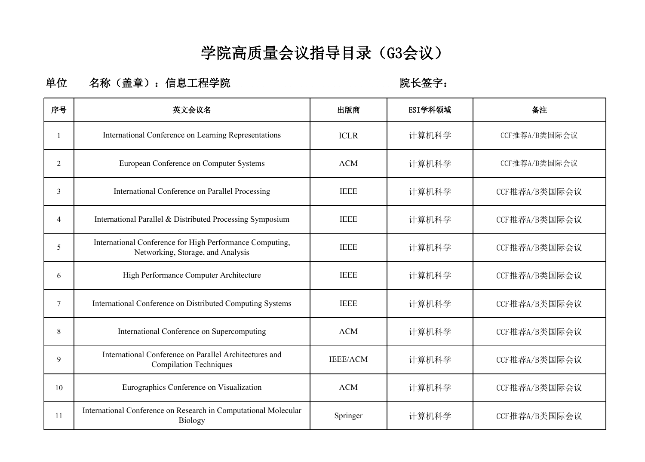### **学院高质量会议指导目录(G3会议)**

#### 单位 名称(盖章): 信息工程学院 **Weble Manager of the Manager of the Webley**:

| 序号 | 英文会议名                                                                                         | 出版商             | ESI学科领域 | 备注            |
|----|-----------------------------------------------------------------------------------------------|-----------------|---------|---------------|
|    | International Conference on Learning Representations                                          | <b>ICLR</b>     | 计算机科学   | CCF推荐A/B类国际会议 |
| 2  | European Conference on Computer Systems                                                       | <b>ACM</b>      | 计算机科学   | CCF推荐A/B类国际会议 |
| 3  | International Conference on Parallel Processing                                               | <b>IEEE</b>     | 计算机科学   | CCF推荐A/B类国际会议 |
| 4  | International Parallel & Distributed Processing Symposium                                     | <b>IEEE</b>     | 计算机科学   | CCF推荐A/B类国际会议 |
| 5  | International Conference for High Performance Computing,<br>Networking, Storage, and Analysis | <b>IEEE</b>     | 计算机科学   | CCF推荐A/B类国际会议 |
| 6  | High Performance Computer Architecture                                                        | <b>IEEE</b>     | 计算机科学   | CCF推荐A/B类国际会议 |
| 7  | International Conference on Distributed Computing Systems                                     | <b>IEEE</b>     | 计算机科学   | CCF推荐A/B类国际会议 |
| 8  | International Conference on Supercomputing                                                    | <b>ACM</b>      | 计算机科学   | CCF推荐A/B类国际会议 |
| 9  | International Conference on Parallel Architectures and<br><b>Compilation Techniques</b>       | <b>IEEE/ACM</b> | 计算机科学   | CCF推荐A/B类国际会议 |
| 10 | Eurographics Conference on Visualization                                                      | <b>ACM</b>      | 计算机科学   | CCF推荐A/B类国际会议 |
| 11 | International Conference on Research in Computational Molecular<br><b>Biology</b>             | Springer        | 计算机科学   | CCF推荐A/B类国际会议 |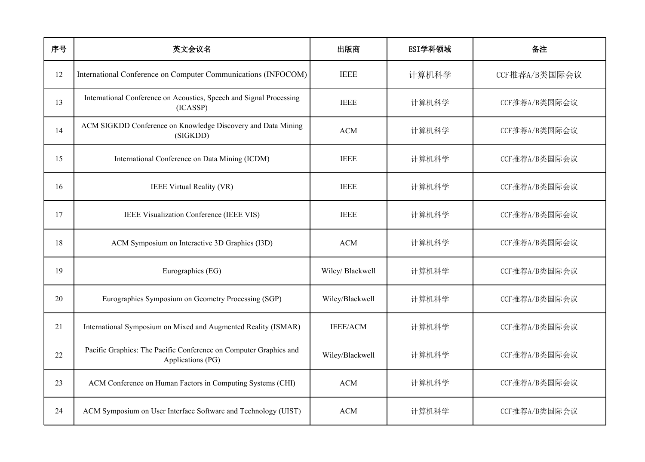| 序号 | 英文会议名                                                                                  | 出版商              | ESI学科领域 | 备注            |
|----|----------------------------------------------------------------------------------------|------------------|---------|---------------|
| 12 | International Conference on Computer Communications (INFOCOM)                          | <b>IEEE</b>      | 计算机科学   | CCF推荐A/B类国际会议 |
| 13 | International Conference on Acoustics, Speech and Signal Processing<br>(ICASSP)        | <b>IEEE</b>      | 计算机科学   | CCF推荐A/B类国际会议 |
| 14 | ACM SIGKDD Conference on Knowledge Discovery and Data Mining<br>(SIGKDD)               | <b>ACM</b>       | 计算机科学   | CCF推荐A/B类国际会议 |
| 15 | International Conference on Data Mining (ICDM)                                         | <b>IEEE</b>      | 计算机科学   | CCF推荐A/B类国际会议 |
| 16 | IEEE Virtual Reality (VR)                                                              | <b>IEEE</b>      | 计算机科学   | CCF推荐A/B类国际会议 |
| 17 | IEEE Visualization Conference (IEEE VIS)                                               | <b>IEEE</b>      | 计算机科学   | CCF推荐A/B类国际会议 |
| 18 | ACM Symposium on Interactive 3D Graphics (I3D)                                         | <b>ACM</b>       | 计算机科学   | CCF推荐A/B类国际会议 |
| 19 | Eurographics (EG)                                                                      | Wiley/ Blackwell | 计算机科学   | CCF推荐A/B类国际会议 |
| 20 | Eurographics Symposium on Geometry Processing (SGP)                                    | Wiley/Blackwell  | 计算机科学   | CCF推荐A/B类国际会议 |
| 21 | International Symposium on Mixed and Augmented Reality (ISMAR)                         | <b>IEEE/ACM</b>  | 计算机科学   | CCF推荐A/B类国际会议 |
| 22 | Pacific Graphics: The Pacific Conference on Computer Graphics and<br>Applications (PG) | Wiley/Blackwell  | 计算机科学   | CCF推荐A/B类国际会议 |
| 23 | ACM Conference on Human Factors in Computing Systems (CHI)                             | <b>ACM</b>       | 计算机科学   | CCF推荐A/B类国际会议 |
| 24 | ACM Symposium on User Interface Software and Technology (UIST)                         | <b>ACM</b>       | 计算机科学   | CCF推荐A/B类国际会议 |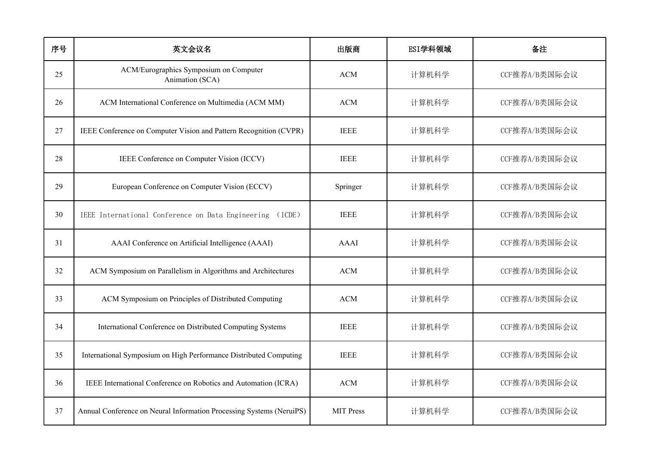| 序号 | 英文会议名                                                                | 出版商              | ESI学科领域 | 备注            |
|----|----------------------------------------------------------------------|------------------|---------|---------------|
| 25 | ACM/Eurographics Symposium on Computer<br>Animation (SCA)            | <b>ACM</b>       | 计算机科学   | CCF推荐A/B类国际会议 |
| 26 | ACM International Conference on Multimedia (ACM MM)                  | $ACM$            | 计算机科学   | CCF推荐A/B类国际会议 |
| 27 | IEEE Conference on Computer Vision and Pattern Recognition (CVPR)    | <b>IEEE</b>      | 计算机科学   | CCF推荐A/B类国际会议 |
| 28 | IEEE Conference on Computer Vision (ICCV)                            | <b>IEEE</b>      | 计算机科学   | CCF推荐A/B类国际会议 |
| 29 | European Conference on Computer Vision (ECCV)                        | Springer         | 计算机科学   | CCF推荐A/B类国际会议 |
| 30 | IEEE International Conference on Data Engineering (ICDE)             | <b>IEEE</b>      | 计算机科学   | CCF推荐A/B类国际会议 |
| 31 | AAAI Conference on Artificial Intelligence (AAAI)                    | AAAI             | 计算机科学   | CCF推荐A/B类国际会议 |
| 32 | ACM Symposium on Parallelism in Algorithms and Architectures         | ACM              | 计算机科学   | CCF推荐A/B类国际会议 |
| 33 | ACM Symposium on Principles of Distributed Computing                 | <b>ACM</b>       | 计算机科学   | CCF推荐A/B类国际会议 |
| 34 | International Conference on Distributed Computing Systems            | <b>IEEE</b>      | 计算机科学   | CCF推荐A/B类国际会议 |
| 35 | International Symposium on High Performance Distributed Computing    | <b>IEEE</b>      | 计算机科学   | CCF推荐A/B类国际会议 |
| 36 | IEEE International Conference on Robotics and Automation (ICRA)      | $ACM$            | 计算机科学   | CCF推荐A/B类国际会议 |
| 37 | Annual Conference on Neural Information Processing Systems (NeruiPS) | <b>MIT Press</b> | 计算机科学   | CCF推荐A/B类国际会议 |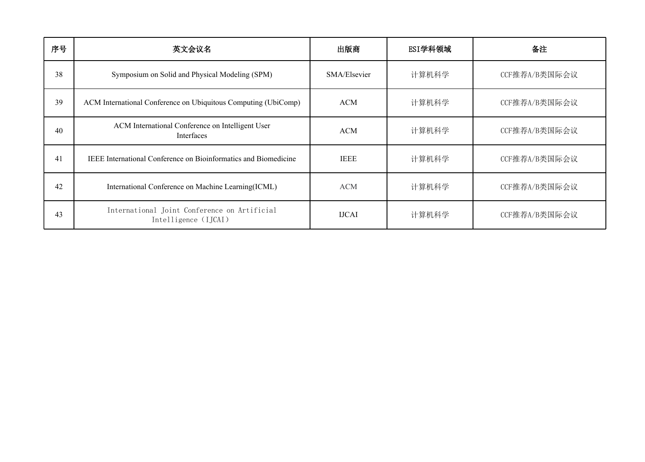| 序号 | 英文会议名                                                                | 出版商          | ESI学科领域 | 备注            |
|----|----------------------------------------------------------------------|--------------|---------|---------------|
| 38 | Symposium on Solid and Physical Modeling (SPM)                       | SMA/Elsevier | 计算机科学   | CCF推荐A/B类国际会议 |
| 39 | ACM International Conference on Ubiquitous Computing (UbiComp)       | <b>ACM</b>   | 计算机科学   | CCF推荐A/B类国际会议 |
| 40 | ACM International Conference on Intelligent User<br>Interfaces       | <b>ACM</b>   | 计算机科学   | CCF推荐A/B类国际会议 |
| 41 | IEEE International Conference on Bioinformatics and Biomedicine      | <b>IEEE</b>  | 计算机科学   | CCF推荐A/B类国际会议 |
| 42 | International Conference on Machine Learning(ICML)                   | <b>ACM</b>   | 计算机科学   | CCF推荐A/B类国际会议 |
| 43 | International Joint Conference on Artificial<br>Intelligence (IJCAI) | <b>IJCAI</b> | 计算机科学   | CCF推荐A/B类国际会议 |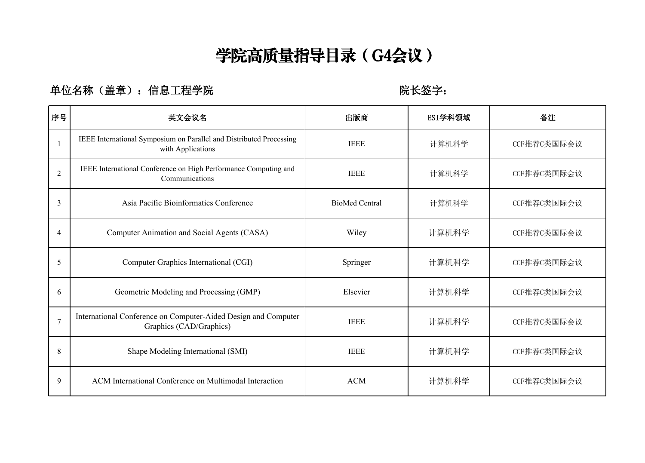# **学院高质量指导目录(G4会议)**

### 单位名称(盖章): 信息工程学院 **WECCONNET SECONNEY WEBSESS**:

| 序号                       | 英文会议名                                                                                     | 出版商                   | ESI学科领域 | 备注          |
|--------------------------|-------------------------------------------------------------------------------------------|-----------------------|---------|-------------|
|                          | IEEE International Symposium on Parallel and Distributed Processing<br>with Applications  | <b>IEEE</b>           | 计算机科学   | CCF推荐C类国际会议 |
| $\mathfrak{D}$           | IEEE International Conference on High Performance Computing and<br>Communications         | <b>IEEE</b>           | 计算机科学   | CCF推荐C类国际会议 |
| $\overline{\mathcal{E}}$ | Asia Pacific Bioinformatics Conference                                                    | <b>BioMed Central</b> | 计算机科学   | CCF推荐C类国际会议 |
| $\overline{4}$           | Computer Animation and Social Agents (CASA)                                               | Wiley                 | 计算机科学   | CCF推荐C类国际会议 |
| 5                        | Computer Graphics International (CGI)                                                     | Springer              | 计算机科学   | CCF推荐C类国际会议 |
| 6                        | Geometric Modeling and Processing (GMP)                                                   | Elsevier              | 计算机科学   | CCF推荐C类国际会议 |
| $\overline{7}$           | International Conference on Computer-Aided Design and Computer<br>Graphics (CAD/Graphics) | <b>IEEE</b>           | 计算机科学   | CCF推荐C类国际会议 |
| 8                        | Shape Modeling International (SMI)                                                        | <b>IEEE</b>           | 计算机科学   | CCF推荐C类国际会议 |
| 9                        | ACM International Conference on Multimodal Interaction                                    | <b>ACM</b>            | 计算机科学   | CCF推荐C类国际会议 |